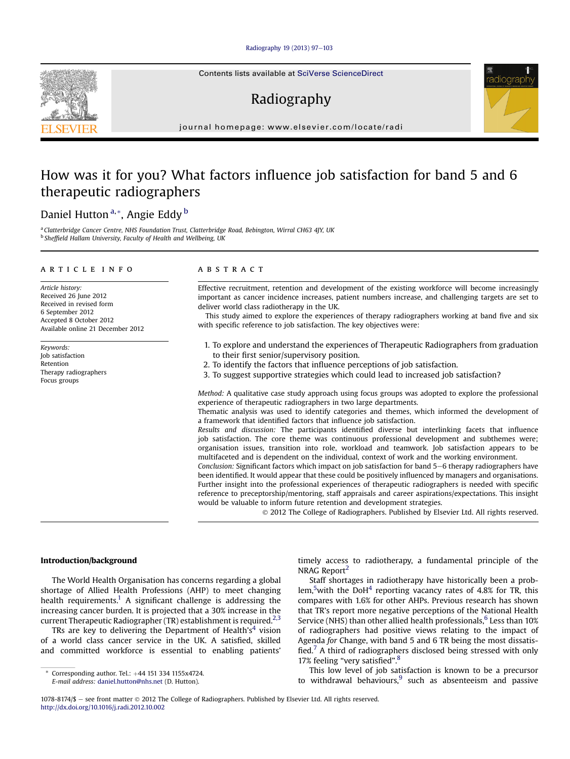### [Radiography 19 \(2013\) 97](http://dx.doi.org/10.1016/j.radi.2012.10.002)-[103](http://dx.doi.org/10.1016/j.radi.2012.10.002)

Contents lists available at [SciVerse ScienceDirect](www.sciencedirect.com/science/journal/10788174)

# Radiography

journal homepage: [www.elsevier.com/locate/radi](http://www.elsevier.com/locate/radi)

## How was it for you? What factors influence job satisfaction for band 5 and 6 therapeutic radiographers

## Daniel Hutton<sup>a,\*</sup>, Angie Eddy<sup>b</sup>

a Clatterbridge Cancer Centre, NHS Foundation Trust, Clatterbridge Road, Bebington, Wirral CH63 4JY, UK <sup>b</sup> Sheffield Hallam University, Faculty of Health and Wellbeing, UK

#### article info

Article history: Received 26 June 2012 Received in revised form 6 September 2012 Accepted 8 October 2012 Available online 21 December 2012

Keywords: Job satisfaction Retention Therapy radiographers Focus groups

### ABSTRACT

Effective recruitment, retention and development of the existing workforce will become increasingly important as cancer incidence increases, patient numbers increase, and challenging targets are set to deliver world class radiotherapy in the UK.

This study aimed to explore the experiences of therapy radiographers working at band five and six with specific reference to job satisfaction. The key objectives were:

- 1. To explore and understand the experiences of Therapeutic Radiographers from graduation to their first senior/supervisory position.
- 2. To identify the factors that influence perceptions of job satisfaction.
- 3. To suggest supportive strategies which could lead to increased job satisfaction?

Method: A qualitative case study approach using focus groups was adopted to explore the professional experience of therapeutic radiographers in two large departments.

Thematic analysis was used to identify categories and themes, which informed the development of a framework that identified factors that influence job satisfaction.

Results and discussion: The participants identified diverse but interlinking facets that influence job satisfaction. The core theme was continuous professional development and subthemes were; organisation issues, transition into role, workload and teamwork. Job satisfaction appears to be multifaceted and is dependent on the individual, context of work and the working environment.

Conclusion: Significant factors which impact on job satisfaction for band 5–6 therapy radiographers have been identified. It would appear that these could be positively influenced by managers and organisations. Further insight into the professional experiences of therapeutic radiographers is needed with specific reference to preceptorship/mentoring, staff appraisals and career aspirations/expectations. This insight would be valuable to inform future retention and development strategies.

2012 The College of Radiographers. Published by Elsevier Ltd. All rights reserved.

#### Introduction/background

The World Health Organisation has concerns regarding a global shortage of Allied Health Professions (AHP) to meet changing health requirements.<sup>[1](#page-5-0)</sup> A significant challenge is addressing the increasing cancer burden. It is projected that a 30% increase in the current Therapeutic Radiographer (TR) establishment is required.<sup>2,3</sup>

TRs are key to delivering the Department of Health's $^4$  $^4$  vision of a world class cancer service in the UK. A satisfied, skilled and committed workforce is essential to enabling patients' timely access to radiotherapy, a fundamental principle of the NRAG Report<sup>[2](#page-5-0)</sup>

Staff shortages in radiotherapy have historically been a prob-lem,<sup>[5](#page-5-0)</sup> with the DoH<sup>[4](#page-5-0)</sup> reporting vacancy rates of 4.8% for TR, this compares with 1.6% for other AHPs. Previous research has shown that TR's report more negative perceptions of the National Health Service (NHS) than other allied health professionals,  $6$  Less than 10% of radiographers had positive views relating to the impact of Agenda for Change, with band 5 and 6 TR being the most dissatis-fied.<sup>[7](#page-5-0)</sup> A third of radiographers disclosed being stressed with only 17% feeling "very satisfied".<sup>[8](#page-5-0)</sup>

This low level of job satisfaction is known to be a precursor to withdrawal behaviours, $9$  such as absenteeism and passive

 $1078-8174/\$$  - see front matter  $\odot$  2012 The College of Radiographers. Published by Elsevier Ltd. All rights reserved. <http://dx.doi.org/10.1016/j.radi.2012.10.002>



Corresponding author. Tel.:  $+44$  151 334 1155x4724.

E-mail address: [daniel.hutton@nhs.net](mailto:daniel.hutton@nhs.net) (D. Hutton).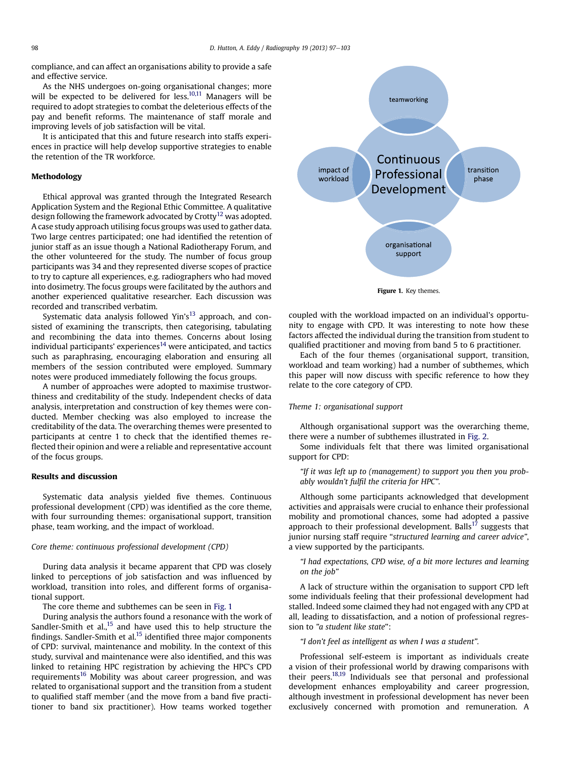compliance, and can affect an organisations ability to provide a safe and effective service.

As the NHS undergoes on-going organisational changes; more will be expected to be delivered for less.<sup>[10,11](#page-5-0)</sup> Managers will be required to adopt strategies to combat the deleterious effects of the pay and benefit reforms. The maintenance of staff morale and improving levels of job satisfaction will be vital.

It is anticipated that this and future research into staffs experiences in practice will help develop supportive strategies to enable the retention of the TR workforce.

#### Methodology

Ethical approval was granted through the Integrated Research Application System and the Regional Ethic Committee. A qualitative design following the framework advocated by Crotty[12](#page-5-0) was adopted. A case study approach utilising focus groups was used to gather data. Two large centres participated; one had identified the retention of junior staff as an issue though a National Radiotherapy Forum, and the other volunteered for the study. The number of focus group participants was 34 and they represented diverse scopes of practice to try to capture all experiences, e.g. radiographers who had moved into dosimetry. The focus groups were facilitated by the authors and another experienced qualitative researcher. Each discussion was recorded and transcribed verbatim.

Systematic data analysis followed Yin's<sup>[13](#page-5-0)</sup> approach, and consisted of examining the transcripts, then categorising, tabulating and recombining the data into themes. Concerns about losing individual participants' experiences $14$  were anticipated, and tactics such as paraphrasing, encouraging elaboration and ensuring all members of the session contributed were employed. Summary notes were produced immediately following the focus groups.

A number of approaches were adopted to maximise trustworthiness and creditability of the study. Independent checks of data analysis, interpretation and construction of key themes were conducted. Member checking was also employed to increase the creditability of the data. The overarching themes were presented to participants at centre 1 to check that the identified themes reflected their opinion and were a reliable and representative account of the focus groups.

#### Results and discussion

Systematic data analysis yielded five themes. Continuous professional development (CPD) was identified as the core theme, with four surrounding themes: organisational support, transition phase, team working, and the impact of workload.

#### Core theme: continuous professional development (CPD)

During data analysis it became apparent that CPD was closely linked to perceptions of job satisfaction and was influenced by workload, transition into roles, and different forms of organisational support.

The core theme and subthemes can be seen in Fig. 1

During analysis the authors found a resonance with the work of Sandler-Smith et al.,<sup>15</sup> and have used this to help structure the findings. Sandler-Smith et al.[15](#page-6-0) identified three major components of CPD: survival, maintenance and mobility. In the context of this study, survival and maintenance were also identified, and this was linked to retaining HPC registration by achieving the HPC's CPD requirements<sup>[16](#page-6-0)</sup> Mobility was about career progression, and was related to organisational support and the transition from a student to qualified staff member (and the move from a band five practitioner to band six practitioner). How teams worked together



coupled with the workload impacted on an individual's opportunity to engage with CPD. It was interesting to note how these factors affected the individual during the transition from student to qualified practitioner and moving from band 5 to 6 practitioner.

Each of the four themes (organisational support, transition, workload and team working) had a number of subthemes, which this paper will now discuss with specific reference to how they relate to the core category of CPD.

#### Theme 1: organisational support

Although organisational support was the overarching theme, there were a number of subthemes illustrated in [Fig. 2.](#page-2-0)

Some individuals felt that there was limited organisational support for CPD:

## "If it was left up to (management) to support you then you probably wouldn't fulfil the criteria for HPC".

Although some participants acknowledged that development activities and appraisals were crucial to enhance their professional mobility and promotional chances, some had adopted a passive approach to their professional development. Balls $^{17}$  $^{17}$  $^{17}$  suggests that junior nursing staff require "structured learning and career advice", a view supported by the participants.

## "I had expectations, CPD wise, of a bit more lectures and learning on the job"

A lack of structure within the organisation to support CPD left some individuals feeling that their professional development had stalled. Indeed some claimed they had not engaged with any CPD at all, leading to dissatisfaction, and a notion of professional regression to "a student like state":

"I don't feel as intelligent as when I was a student".

Professional self-esteem is important as individuals create a vision of their professional world by drawing comparisons with their peers[.18,19](#page-6-0) Individuals see that personal and professional development enhances employability and career progression, although investment in professional development has never been exclusively concerned with promotion and remuneration. A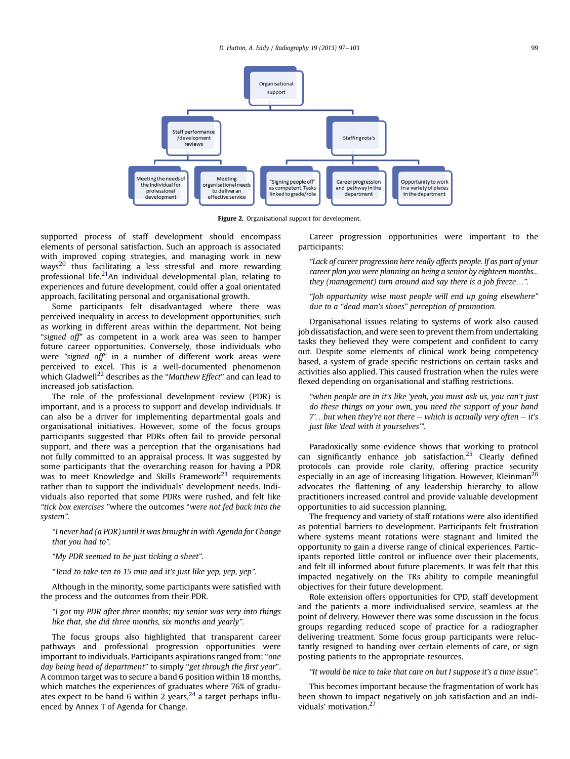<span id="page-2-0"></span>

Figure 2. Organisational support for development.

supported process of staff development should encompass elements of personal satisfaction. Such an approach is associated with improved coping strategies, and managing work in new ways<sup>[20](#page-6-0)</sup> thus facilitating a less stressful and more rewarding professional life. $^{21}$ An individual developmental plan, relating to experiences and future development, could offer a goal orientated approach, facilitating personal and organisational growth.

Some participants felt disadvantaged where there was perceived inequality in access to development opportunities, such as working in different areas within the department. Not being "signed off" as competent in a work area was seen to hamper future career opportunities. Conversely, those individuals who were "signed off" in a number of different work areas were perceived to excel. This is a well-documented phenomenon which Gladwell<sup>22</sup> describes as the "Matthew Effect" and can lead to increased job satisfaction.

The role of the professional development review (PDR) is important, and is a process to support and develop individuals. It can also be a driver for implementing departmental goals and organisational initiatives. However, some of the focus groups participants suggested that PDRs often fail to provide personal support, and there was a perception that the organisations had not fully committed to an appraisal process. It was suggested by some participants that the overarching reason for having a PDR was to meet Knowledge and Skills Framework<sup>[23](#page-6-0)</sup> requirements rather than to support the individuals' development needs. Individuals also reported that some PDRs were rushed, and felt like "tick box exercises "where the outcomes "were not fed back into the system".

"I never had (a PDR) until it was brought in with Agenda for Change that you had to".

"My PDR seemed to be just ticking a sheet".

"Tend to take ten to 15 min and it's just like yep, yep, yep".

Although in the minority, some participants were satisfied with the process and the outcomes from their PDR.

"I got my PDR after three months; my senior was very into things like that, she did three months, six months and yearly".

The focus groups also highlighted that transparent career pathways and professional progression opportunities were important to individuals. Participants aspirations ranged from; "one day being head of department" to simply "get through the first year". A common target was to secure a band 6 position within 18 months, which matches the experiences of graduates where 76% of graduates expect to be band 6 within 2 years,  $24$  a target perhaps influenced by Annex T of Agenda for Change.

Career progression opportunities were important to the participants:

"Lack of career progression here really affects people. If as part of your career plan you were planning on being a senior by eighteen months... they (management) turn around and say there is a job freeze...".

"Job opportunity wise most people will end up going elsewhere" due to a "dead man's shoes" perception of promotion.

Organisational issues relating to systems of work also caused job dissatisfaction, and were seen to prevent them from undertaking tasks they believed they were competent and confident to carry out. Despite some elements of clinical work being competency based, a system of grade specific restrictions on certain tasks and activities also applied. This caused frustration when the rules were flexed depending on organisational and staffing restrictions.

"when people are in it's like 'yeah, you must ask us, you can't just do these things on your own, you need the support of your band  $7'$ ...but when they're not there  $-$  which is actually very often  $-$  it's just like 'deal with it yourselves'".

Paradoxically some evidence shows that working to protocol can significantly enhance job satisfaction.<sup>[25](#page-6-0)</sup> Clearly defined protocols can provide role clarity, offering practice security especially in an age of increasing litigation. However, Kleinman<sup>26</sup> advocates the flattening of any leadership hierarchy to allow practitioners increased control and provide valuable development opportunities to aid succession planning.

The frequency and variety of staff rotations were also identified as potential barriers to development. Participants felt frustration where systems meant rotations were stagnant and limited the opportunity to gain a diverse range of clinical experiences. Participants reported little control or influence over their placements, and felt ill informed about future placements. It was felt that this impacted negatively on the TRs ability to compile meaningful objectives for their future development.

Role extension offers opportunities for CPD, staff development and the patients a more individualised service, seamless at the point of delivery. However there was some discussion in the focus groups regarding reduced scope of practice for a radiographer delivering treatment. Some focus group participants were reluctantly resigned to handing over certain elements of care, or sign posting patients to the appropriate resources.

"It would be nice to take that care on but I suppose it's a time issue".

This becomes important because the fragmentation of work has been shown to impact negatively on job satisfaction and an individuals' motivation.[27](#page-6-0)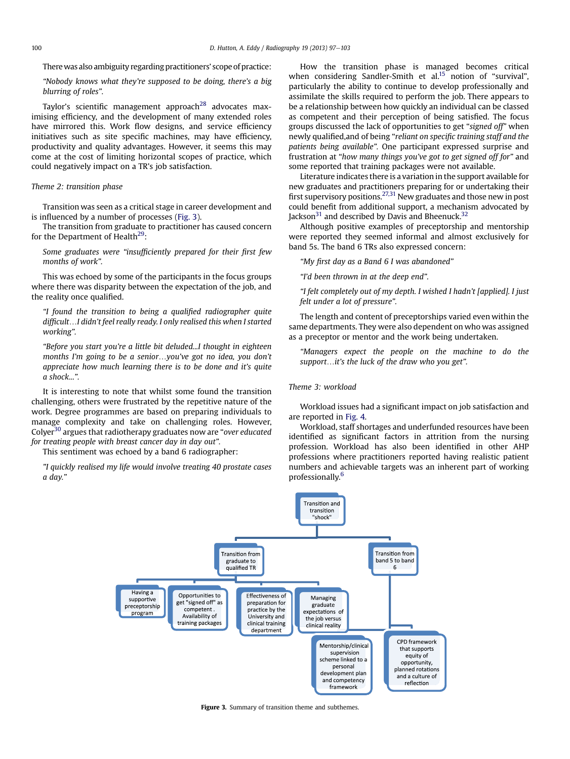There was also ambiguity regarding practitioners' scope of practice:

"Nobody knows what they're supposed to be doing, there's a big blurring of roles".

Taylor's scientific management approach<sup>[28](#page-6-0)</sup> advocates maximising efficiency, and the development of many extended roles have mirrored this. Work flow designs, and service efficiency initiatives such as site specific machines, may have efficiency, productivity and quality advantages. However, it seems this may come at the cost of limiting horizontal scopes of practice, which could negatively impact on a TR's job satisfaction.

## Theme 2: transition phase

Transition was seen as a critical stage in career development and is influenced by a number of processes (Fig. 3).

The transition from graduate to practitioner has caused concern for the Department of Health $^{29}$ :

Some graduates were "insufficiently prepared for their first few months of work".

This was echoed by some of the participants in the focus groups where there was disparity between the expectation of the job, and the reality once qualified.

"I found the transition to being a qualified radiographer quite difficult...I didn't feel really ready. I only realised this when I started working".

"Before you start you're a little bit deluded...I thought in eighteen months I'm going to be a senior...you've got no idea, you don't appreciate how much learning there is to be done and it's quite a shock...".

It is interesting to note that whilst some found the transition challenging, others were frustrated by the repetitive nature of the work. Degree programmes are based on preparing individuals to manage complexity and take on challenging roles. However, Colyer $30$  argues that radiotherapy graduates now are "over educated for treating people with breast cancer day in day out".

This sentiment was echoed by a band 6 radiographer:

"I quickly realised my life would involve treating 40 prostate cases a day."

How the transition phase is managed becomes critical when considering Sandler-Smith et al.<sup>15</sup> notion of "survival", particularly the ability to continue to develop professionally and assimilate the skills required to perform the job. There appears to be a relationship between how quickly an individual can be classed as competent and their perception of being satisfied. The focus groups discussed the lack of opportunities to get "signed off" when newly qualified,and of being "reliant on specific training staff and the patients being available". One participant expressed surprise and frustration at "how many things you've got to get signed off for" and some reported that training packages were not available.

Literature indicates there is a variation in the support available for new graduates and practitioners preparing for or undertaking their first supervisory positions.  $27,31$  New graduates and those new in post could benefit from additional support, a mechanism advocated by Jackson<sup>[31](#page-6-0)</sup> and described by Davis and Bheenuck.<sup>32</sup>

Although positive examples of preceptorship and mentorship were reported they seemed informal and almost exclusively for band 5s. The band 6 TRs also expressed concern:

"My first day as a Band 6 I was abandoned"

"I'd been thrown in at the deep end".

"I felt completely out of my depth. I wished I hadn't [applied]. I just felt under a lot of pressure".

The length and content of preceptorships varied even within the same departments. They were also dependent on who was assigned as a preceptor or mentor and the work being undertaken.

"Managers expect the people on the machine to do the support...it's the luck of the draw who you get".

## Theme 3: workload

Workload issues had a significant impact on job satisfaction and are reported in [Fig. 4](#page-4-0).

Workload, staff shortages and underfunded resources have been identified as significant factors in attrition from the nursing profession. Workload has also been identified in other AHP professions where practitioners reported having realistic patient numbers and achievable targets was an inherent part of working professionally.[6](#page-5-0)



Figure 3. Summary of transition theme and subthemes.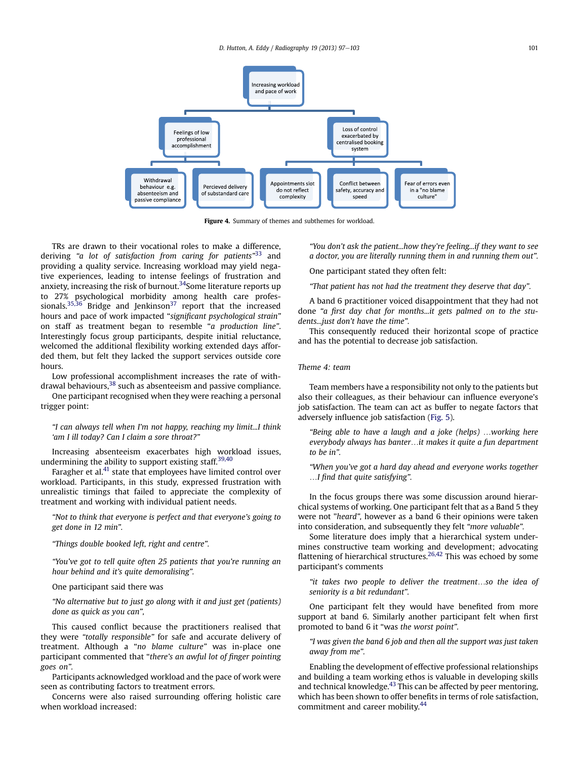<span id="page-4-0"></span>

Figure 4. Summary of themes and subthemes for workload.

TRs are drawn to their vocational roles to make a difference, deriving "a lot of satisfaction from caring for patients"<sup>[33](#page-6-0)</sup> and providing a quality service. Increasing workload may yield negative experiences, leading to intense feelings of frustration and anxiety, increasing the risk of burnout.<sup>34</sup>Some literature reports up to 27% psychological morbidity among health care professionals. $35,36$  Bridge and Jenkinson $37$  report that the increased hours and pace of work impacted "significant psychological strain" on staff as treatment began to resemble "a production line". Interestingly focus group participants, despite initial reluctance, welcomed the additional flexibility working extended days afforded them, but felt they lacked the support services outside core hours.

Low professional accomplishment increases the rate of withdrawal behaviours,[38](#page-6-0) such as absenteeism and passive compliance. One participant recognised when they were reaching a personal

trigger point:

## "I can always tell when I'm not happy, reaching my limit...I think 'am I ill today? Can I claim a sore throat?"

Increasing absenteeism exacerbates high workload issues, undermining the ability to support existing staff.<sup>[39,40](#page-6-0)</sup>

Faragher et al.<sup>[41](#page-6-0)</sup> state that employees have limited control over workload. Participants, in this study, expressed frustration with unrealistic timings that failed to appreciate the complexity of treatment and working with individual patient needs.

"Not to think that everyone is perfect and that everyone's going to get done in 12 min".

"Things double booked left, right and centre".

"You've got to tell quite often 25 patients that you're running an hour behind and it's quite demoralising".

#### One participant said there was

"No alternative but to just go along with it and just get (patients) done as quick as you can",

This caused conflict because the practitioners realised that they were "totally responsible" for safe and accurate delivery of treatment. Although a "no blame culture" was in-place one participant commented that "there's an awful lot of finger pointing goes on".

Participants acknowledged workload and the pace of work were seen as contributing factors to treatment errors.

Concerns were also raised surrounding offering holistic care when workload increased:

"You don't ask the patient...how they're feeling...if they want to see a doctor, you are literally running them in and running them out".

One participant stated they often felt:

"That patient has not had the treatment they deserve that day".

A band 6 practitioner voiced disappointment that they had not done "a first day chat for months...it gets palmed on to the students...just don't have the time".

This consequently reduced their horizontal scope of practice and has the potential to decrease job satisfaction.

#### Theme 4: team

Team members have a responsibility not only to the patients but also their colleagues, as their behaviour can influence everyone's job satisfaction. The team can act as buffer to negate factors that adversely influence job satisfaction [\(Fig. 5](#page-5-0)).

"Being able to have a laugh and a joke (helps) ...working here everybody always has banter...it makes it quite a fun department to be in".

"When you've got a hard day ahead and everyone works together .I find that quite satisfying".

In the focus groups there was some discussion around hierarchical systems of working. One participant felt that as a Band 5 they were not "heard", however as a band 6 their opinions were taken into consideration, and subsequently they felt "more valuable".

Some literature does imply that a hierarchical system undermines constructive team working and development; advocating flattening of hierarchical structures.<sup>26,42</sup> This was echoed by some participant's comments

"it takes two people to deliver the treatment...so the idea of seniority is a bit redundant".

One participant felt they would have benefited from more support at band 6. Similarly another participant felt when first promoted to band 6 it "was the worst point".

"I was given the band 6 job and then all the support was just taken away from me".

Enabling the development of effective professional relationships and building a team working ethos is valuable in developing skills and technical knowledge.[43](#page-6-0) This can be affected by peer mentoring, which has been shown to offer benefits in terms of role satisfaction, commitment and career mobility.[44](#page-6-0)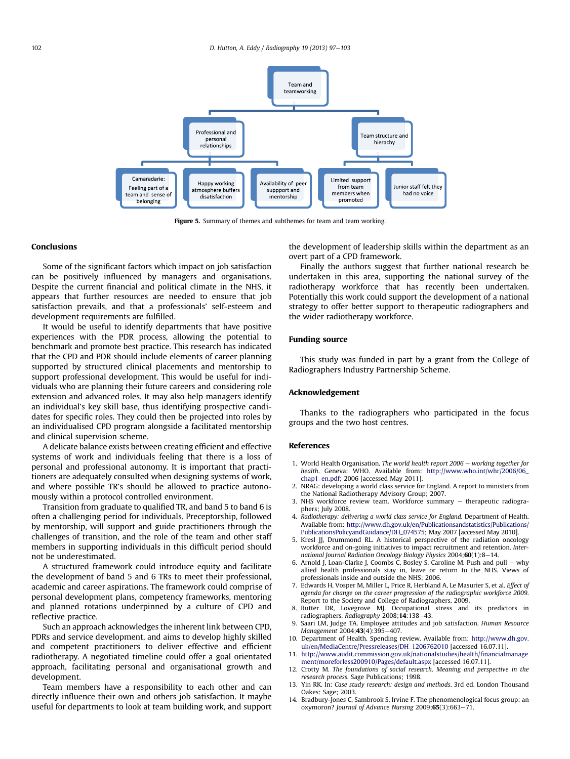<span id="page-5-0"></span>

Figure 5. Summary of themes and subthemes for team and team working.

## Conclusions

Some of the significant factors which impact on job satisfaction can be positively influenced by managers and organisations. Despite the current financial and political climate in the NHS, it appears that further resources are needed to ensure that job satisfaction prevails, and that a professionals' self-esteem and development requirements are fulfilled.

It would be useful to identify departments that have positive experiences with the PDR process, allowing the potential to benchmark and promote best practice. This research has indicated that the CPD and PDR should include elements of career planning supported by structured clinical placements and mentorship to support professional development. This would be useful for individuals who are planning their future careers and considering role extension and advanced roles. It may also help managers identify an individual's key skill base, thus identifying prospective candidates for specific roles. They could then be projected into roles by an individualised CPD program alongside a facilitated mentorship and clinical supervision scheme.

A delicate balance exists between creating efficient and effective systems of work and individuals feeling that there is a loss of personal and professional autonomy. It is important that practitioners are adequately consulted when designing systems of work, and where possible TR's should be allowed to practice autonomously within a protocol controlled environment.

Transition from graduate to qualified TR, and band 5 to band 6 is often a challenging period for individuals. Preceptorship, followed by mentorship, will support and guide practitioners through the challenges of transition, and the role of the team and other staff members in supporting individuals in this difficult period should not be underestimated.

A structured framework could introduce equity and facilitate the development of band 5 and 6 TRs to meet their professional, academic and career aspirations. The framework could comprise of personal development plans, competency frameworks, mentoring and planned rotations underpinned by a culture of CPD and reflective practice.

Such an approach acknowledges the inherent link between CPD, PDRs and service development, and aims to develop highly skilled and competent practitioners to deliver effective and efficient radiotherapy. A negotiated timeline could offer a goal orientated approach, facilitating personal and organisational growth and development.

Team members have a responsibility to each other and can directly influence their own and others job satisfaction. It maybe useful for departments to look at team building work, and support the development of leadership skills within the department as an overt part of a CPD framework.

Finally the authors suggest that further national research be undertaken in this area, supporting the national survey of the radiotherapy workforce that has recently been undertaken. Potentially this work could support the development of a national strategy to offer better support to therapeutic radiographers and the wider radiotherapy workforce.

## Funding source

This study was funded in part by a grant from the College of Radiographers Industry Partnership Scheme.

### Acknowledgement

Thanks to the radiographers who participated in the focus groups and the two host centres.

#### References

- 1. World Health Organisation. The world health report 2006  $-$  working together for health. Geneva: WHO. Available from: [http://www.who.int/whr/2006/06\\_](http://www.who.int/whr/2006/06_chap1_en.pdf) [chap1\\_en.pdf](http://www.who.int/whr/2006/06_chap1_en.pdf); 2006 [accessed May 2011].
- 2. NRAG: developing a world class service for England. A report to ministers from the National Radiotherapy Advisory Group; 2007.
- 3. NHS workforce review team. Workforce summary  $-$  therapeutic radiographers; July 2008.
- 4. Radiotherapy: delivering a world class service for England. Department of Health. Available from: [http://www.dh.gov.uk/en/Publicationsandstatistics/Publications/](http://www.dh.gov.uk/en/Publicationsandstatistics/Publications/PublicationsPolicyandGuidance/DH_074575) [PublicationsPolicyandGuidance/DH\\_074575;](http://www.dh.gov.uk/en/Publicationsandstatistics/Publications/PublicationsPolicyandGuidance/DH_074575) May 2007 [accessed May 2010].
- 5. Kresl II, Drummond RL. A historical perspective of the radiation oncology workforce and on-going initiatives to impact recruitment and retention. International Journal Radiation Oncology Biology Physics  $2004$ ; 60(1): 8-14.
- Arnold J, Loan-Clarke J, Coombs C, Bosley S, Caroline M. Push and pull  $-$  why allied health professionals stay in, leave or return to the NHS. Views of professionals inside and outside the NHS; 2006.
- 7. Edwards H, Vosper M, Miller L, Price R, Herbland A, Le Masurier S, et al. Effect of agenda for change on the career progression of the radiographic workforce 2009. Report to the Society and College of Radiographers, 2009.
- 8. Rutter DR, Lovegrove MJ. Occupational stress and its predictors in radiographers. Radiography 2008;14:138-43.
- 9. Saari LM, Judge TA. Employee attitudes and job satisfaction. Human Resource Management 2004;43(4):395-407.
- 10. Department of Health. Spending review. Available from: [http://www.dh.gov.](http://www.dh.gov.uk/en/MediaCentre/Pressreleases/DH_1206762010) [uk/en/MediaCentre/Pressreleases/DH\\_1206762010](http://www.dh.gov.uk/en/MediaCentre/Pressreleases/DH_1206762010) [accessed 16.07.11].
- 11. [http://www.audit.commission.gov.uk/nationalstudies/health/](http://www.audit.commission.gov.uk/nationalstudies/health/financialmanagement/moreforless200910/Pages/default.aspx)financialmanage [ment/moreforless200910/Pages/default.aspx](http://www.audit.commission.gov.uk/nationalstudies/health/financialmanagement/moreforless200910/Pages/default.aspx) [accessed 16.07.11].
- 12. Crotty M. The foundations of social research. Meaning and perspective in the research process. Sage Publications; 1998.
- 13. Yin RK. In: Case study research: design and methods. 3rd ed. London Thousand Oakes: Sage; 2003.
- 14. Bradbury-Jones C, Sambrook S, Irvine F. The phenomenological focus group: an oxymoron? Journal of Advance Nursing 2009;65(3):663-71.